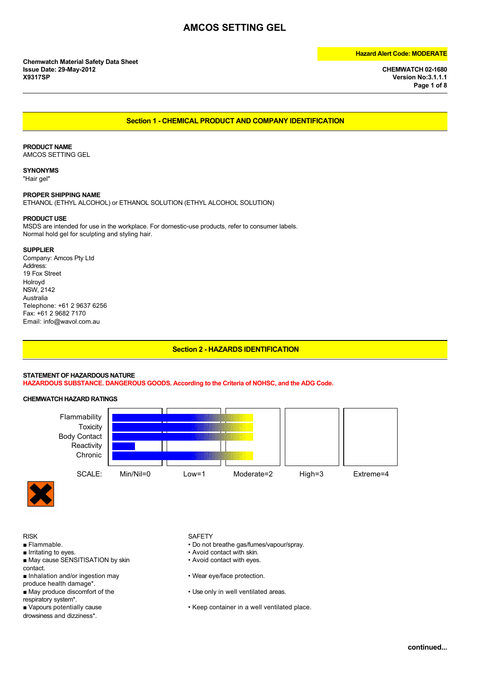**Version No:3.1.1.1 Page 1 of 8**

### **Section 1 - CHEMICAL PRODUCT AND COMPANY IDENTIFICATION**

### **PRODUCT NAME**

AMCOS SETTING GEL

**SYNONYMS** "Hair gel"

### **PROPER SHIPPING NAME**

ETHANOL (ETHYL ALCOHOL) or ETHANOL SOLUTION (ETHYL ALCOHOL SOLUTION)

### **PRODUCT USE**

MSDS are intended for use in the workplace. For domestic-use products, refer to consumer labels. Normal hold gel for sculpting and styling hair.

### **SUPPLIER**

Company: Amcos Pty Ltd Address: 19 Fox Street Holroyd NSW, 2142 Australia Telephone: +61 2 9637 6256 Fax: +61 2 9682 7170 Email: info@wavol.com.au

### **Section 2 - HAZARDS IDENTIFICATION**

### **STATEMENT OF HAZARDOUS NATURE**

**HAZARDOUS SUBSTANCE. DANGEROUS GOODS. According to the Criteria of NOHSC, and the ADG Code.**

### **CHEMWATCH HAZARD RATINGS**





- RISK SAFETY<br>Flammable. Same Safety Safety Safety Safety Safety Safety South Section 1, 1999
- 
- Irritating to eyes.<br>■ May cause SENSITISATION by skin <br>● Avoid contact with eyes. ■ May cause SENSITISATION by skin
- contact.
- 
- produce health damage\*.<br>■ May produce discomfort of the
- respiratory system\*.<br>■ Vapours potentially cause
- 
- drowsiness and dizziness\*.

- Do not breathe gas/fumes/vapour/spray.
- 
- 
- Inhalation and/or ingestion may  **Wear eye/face protection**.
	- Use only in well ventilated areas.
	- Keep container in a well ventilated place.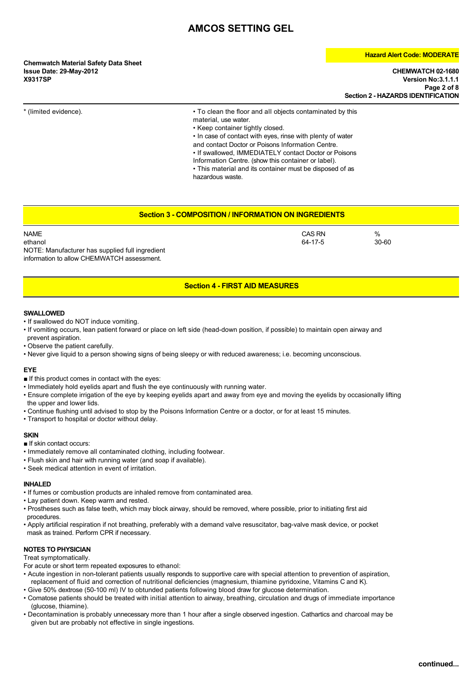**Chemwatch Material Safety Data Sheet Issue Date: 29-May-2012 CHEMWATCH 02-1680**

### **Hazard Alert Code: MODERATE**

**X9317SP Version No:3.1.1.1 Page 2 of 8 Section 2 - HAZARDS IDENTIFICATION**

\* (limited evidence). • To clean the floor and all objects contaminated by this material, use water.

• Keep container tightly closed.

• In case of contact with eyes, rinse with plenty of water and contact Doctor or Poisons Information Centre. • If swallowed, IMMEDIATELY contact Doctor or Poisons Information Centre. (show this container or label).

• This material and its container must be disposed of as

hazardous waste.

### **Section 3 - COMPOSITION / INFORMATION ON INGREDIENTS**

| <b>NAME</b>                                     | <b>CAS RN</b> | %         |  |
|-------------------------------------------------|---------------|-----------|--|
| ethanol                                         | 64-17-5       | $30 - 60$ |  |
| NOTE: Manufacturer has supplied full ingredient |               |           |  |
| information to allow CHEMWATCH assessment.      |               |           |  |

### **Section 4 - FIRST AID MEASURES**

### **SWALLOWED**

- If swallowed do NOT induce vomiting.
- If vomiting occurs, lean patient forward or place on left side (head-down position, if possible) to maintain open airway and prevent aspiration.
- Observe the patient carefully.
- Never give liquid to a person showing signs of being sleepy or with reduced awareness; i.e. becoming unconscious.

### **EYE**

- If this product comes in contact with the eyes:
- Immediately hold eyelids apart and flush the eye continuously with running water.
- Ensure complete irrigation of the eye by keeping eyelids apart and away from eye and moving the eyelids by occasionally lifting the upper and lower lids.
- Continue flushing until advised to stop by the Poisons Information Centre or a doctor, or for at least 15 minutes.
- Transport to hospital or doctor without delay.

### **SKIN**

- If skin contact occurs:
- Immediately remove all contaminated clothing, including footwear.
- Flush skin and hair with running water (and soap if available).
- Seek medical attention in event of irritation.

### **INHALED**

- If fumes or combustion products are inhaled remove from contaminated area.
- Lay patient down. Keep warm and rested.
- Prostheses such as false teeth, which may block airway, should be removed, where possible, prior to initiating first aid procedures.
- Apply artificial respiration if not breathing, preferably with a demand valve resuscitator, bag-valve mask device, or pocket mask as trained. Perform CPR if necessary.

### **NOTES TO PHYSICIAN**

Treat symptomatically.

For acute or short term repeated exposures to ethanol:

- Acute ingestion in non-tolerant patients usually responds to supportive care with special attention to prevention of aspiration, replacement of fluid and correction of nutritional deficiencies (magnesium, thiamine pyridoxine, Vitamins C and K).
- Give 50% dextrose (50-100 ml) IV to obtunded patients following blood draw for glucose determination.
- Comatose patients should be treated with initial attention to airway, breathing, circulation and drugs of immediate importance (glucose, thiamine).
- Decontamination is probably unnecessary more than 1 hour after a single observed ingestion. Cathartics and charcoal may be given but are probably not effective in single ingestions.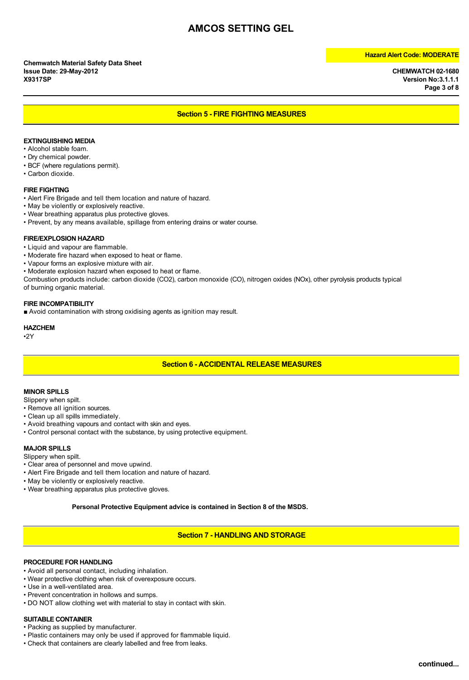**X9317SP Version No:3.1.1.1 Page 3 of 8**

### **Section 5 - FIRE FIGHTING MEASURES**

### **EXTINGUISHING MEDIA**

- Alcohol stable foam.
- Dry chemical powder.
- BCF (where regulations permit).
- Carbon dioxide.

### **FIRE FIGHTING**

- Alert Fire Brigade and tell them location and nature of hazard.
- May be violently or explosively reactive.
- Wear breathing apparatus plus protective gloves.
- Prevent, by any means available, spillage from entering drains or water course.

### **FIRE/EXPLOSION HAZARD**

- Liquid and vapour are flammable.
- Moderate fire hazard when exposed to heat or flame.
- Vapour forms an explosive mixture with air.
- Moderate explosion hazard when exposed to heat or flame.

Combustion products include: carbon dioxide (CO2), carbon monoxide (CO), nitrogen oxides (NOx), other pyrolysis products typical of burning organic material.

### **FIRE INCOMPATIBILITY**

■ Avoid contamination with strong oxidising agents as ignition may result.

**HAZCHEM**

•2Y

### **Section 6 - ACCIDENTAL RELEASE MEASURES**

### **MINOR SPILLS**

Slippery when spilt.

- Remove all ignition sources.
- Clean up all spills immediately.
- Avoid breathing vapours and contact with skin and eyes.
- Control personal contact with the substance, by using protective equipment.

### **MAJOR SPILLS**

Slippery when spilt.

- Clear area of personnel and move upwind.
- Alert Fire Brigade and tell them location and nature of hazard.
- May be violently or explosively reactive.
- Wear breathing apparatus plus protective gloves.

**Personal Protective Equipment advice is contained in Section 8 of the MSDS.**

**Section 7 - HANDLING AND STORAGE**

### **PROCEDURE FOR HANDLING**

- Avoid all personal contact, including inhalation.
- Wear protective clothing when risk of overexposure occurs.
- Use in a well-ventilated area.
- Prevent concentration in hollows and sumps.
- DO NOT allow clothing wet with material to stay in contact with skin.

### **SUITABLE CONTAINER**

- Packing as supplied by manufacturer.
- Plastic containers may only be used if approved for flammable liquid.
- Check that containers are clearly labelled and free from leaks.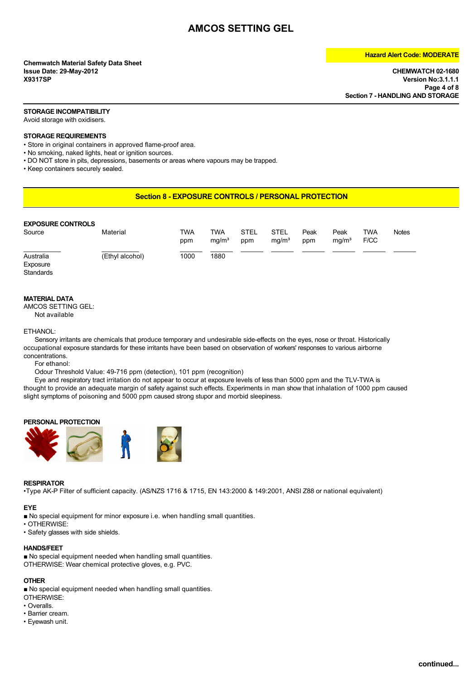# **Chemwatch Material Safety Data Sheet Issue Date: 29-May-2012 CHEMWATCH 02-1680**

### **Hazard Alert Code: MODERATE**

**X9317SP Version No:3.1.1.1 Page 4 of 8 Section 7 - HANDLING AND STORAGE**

### **STORAGE INCOMPATIBILITY**

Avoid storage with oxidisers.

### **STORAGE REQUIREMENTS**

• Store in original containers in approved flame-proof area.

• No smoking, naked lights, heat or ignition sources.

• DO NOT store in pits, depressions, basements or areas where vapours may be trapped.

• Keep containers securely sealed.

### **Section 8 - EXPOSURE CONTROLS / PERSONAL PROTECTION**

| <b>EXPOSURE CONTROLS</b><br>Source | Material        | TWA<br>ppm | TWA<br>mq/m <sup>3</sup> | STEL<br>ppm | STEL<br>mq/m <sup>3</sup> | Peak<br>ppm | Peak<br>mq/m <sup>3</sup> | TWA<br>F/CC | <b>Notes</b> |
|------------------------------------|-----------------|------------|--------------------------|-------------|---------------------------|-------------|---------------------------|-------------|--------------|
| Australia<br>Exposure<br>Standards | (Ethyl alcohol) | 1000       | 1880                     |             |                           |             |                           |             |              |

### **MATERIAL DATA**

AMCOS SETTING GEL:

Not available

### ETHANOL:

Sensory irritants are chemicals that produce temporary and undesirable side-effects on the eyes, nose or throat. Historically occupational exposure standards for these irritants have been based on observation of workers' responses to various airborne concentrations.

For ethanol:

Odour Threshold Value: 49-716 ppm (detection), 101 ppm (recognition)

Eye and respiratory tract irritation do not appear to occur at exposure levels of less than 5000 ppm and the TLV-TWA is thought to provide an adequate margin of safety against such effects. Experiments in man show that inhalation of 1000 ppm caused slight symptoms of poisoning and 5000 ppm caused strong stupor and morbid sleepiness.

### **PERSONAL PROTECTION**



### **RESPIRATOR**

•Type AK-P Filter of sufficient capacity. (AS/NZS 1716 & 1715, EN 143:2000 & 149:2001, ANSI Z88 or national equivalent)

### **EYE**

■ No special equipment for minor exposure i.e. when handling small quantities.

- OTHERWISE:
- Safety glasses with side shields.

### **HANDS/FEET**

■ No special equipment needed when handling small quantities. OTHERWISE: Wear chemical protective gloves, e.g. PVC.

### **OTHER**

■ No special equipment needed when handling small quantities.

- OTHERWISE:
- Overalls.
- Barrier cream.
- Eyewash unit.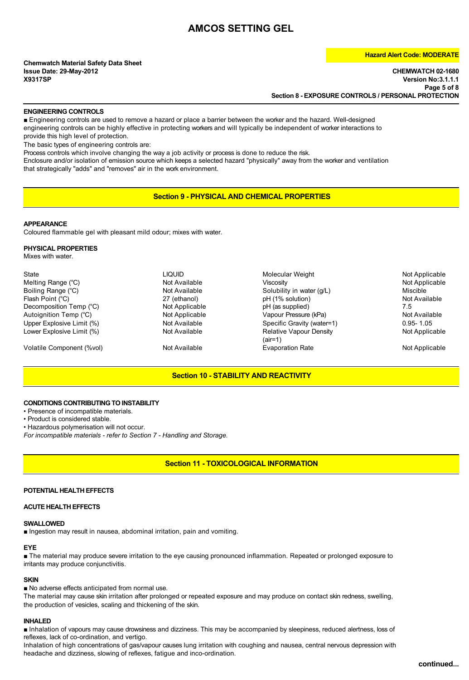# **Chemwatch Material Safety Data Sheet**

### **Hazard Alert Code: MODERATE**

**Issue Date: 29-May-2012 CHEMWATCH 02-1680 X9317SP Version No:3.1.1.1 Page 5 of 8 Section 8 - EXPOSURE CONTROLS / PERSONAL PROTECTION**

### **ENGINEERING CONTROLS**

■ Engineering controls are used to remove a hazard or place a barrier between the worker and the hazard. Well-designed engineering controls can be highly effective in protecting workers and will typically be independent of worker interactions to provide this high level of protection.

The basic types of engineering controls are:

Process controls which involve changing the way a job activity or process is done to reduce the risk.

Enclosure and/or isolation of emission source which keeps a selected hazard "physically" away from the worker and ventilation that strategically "adds" and "removes" air in the work environment.

**Section 9 - PHYSICAL AND CHEMICAL PROPERTIES**

### **APPEARANCE**

Coloured flammable gel with pleasant mild odour; mixes with water.

### **PHYSICAL PROPERTIES**

Mixes with water.

| State                     | liquid         | Molecular Weight                            | Not Applicable |
|---------------------------|----------------|---------------------------------------------|----------------|
| Melting Range (°C)        | Not Available  | Viscosity                                   | Not Applicable |
| Boiling Range (°C)        | Not Available  | Solubility in water (q/L)                   | Miscible       |
| Flash Point (°C)          | 27 (ethanol)   | pH (1% solution)                            | Not Available  |
| Decomposition Temp (°C)   | Not Applicable | pH (as supplied)                            | 7.5            |
| Autoignition Temp (°C)    | Not Applicable | Vapour Pressure (kPa)                       | Not Available  |
| Upper Explosive Limit (%) | Not Available  | Specific Gravity (water=1)                  | $0.95 - 1.05$  |
| Lower Explosive Limit (%) | Not Available  | <b>Relative Vapour Density</b><br>$(air=1)$ | Not Applicable |
| Volatile Component (%vol) | Not Available  | <b>Evaporation Rate</b>                     | Not Applicable |
|                           |                |                                             |                |

### **Section 10 - STABILITY AND REACTIVITY**

### **CONDITIONS CONTRIBUTING TO INSTABILITY**

• Presence of incompatible materials.

• Product is considered stable.

• Hazardous polymerisation will not occur.

*For incompatible materials - refer to Section 7 - Handling and Storage.*

### **Section 11 - TOXICOLOGICAL INFORMATION**

### **POTENTIAL HEALTH EFFECTS**

### **ACUTE HEALTH EFFECTS**

### **SWALLOWED**

■ Ingestion may result in nausea, abdominal irritation, pain and vomiting.

### **EYE**

■ The material may produce severe irritation to the eye causing pronounced inflammation. Repeated or prolonged exposure to irritants may produce conjunctivitis.

### **SKIN**

■ No adverse effects anticipated from normal use.

The material may cause skin irritation after prolonged or repeated exposure and may produce on contact skin redness, swelling, the production of vesicles, scaling and thickening of the skin.

### **INHALED**

■ Inhalation of vapours may cause drowsiness and dizziness. This may be accompanied by sleepiness, reduced alertness, loss of reflexes, lack of co-ordination, and vertigo.

Inhalation of high concentrations of gas/vapour causes lung irritation with coughing and nausea, central nervous depression with headache and dizziness, slowing of reflexes, fatigue and inco-ordination.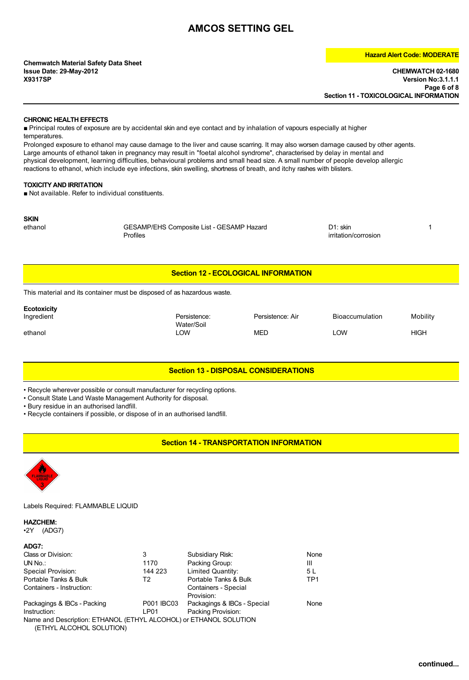**Chemwatch Material Safety Data Sheet**

### **Hazard Alert Code: MODERATE**

**Issue Date: 29-May-2012 CHEMWATCH 02-1680 X9317SP Version No:3.1.1.1 Page 6 of 8 Section 11 - TOXICOLOGICAL INFORMATION**

### **CHRONIC HEALTH EFFECTS**

■ Principal routes of exposure are by accidental skin and eye contact and by inhalation of vapours especially at higher temperatures.

Prolonged exposure to ethanol may cause damage to the liver and cause scarring. It may also worsen damage caused by other agents. Large amounts of ethanol taken in pregnancy may result in "foetal alcohol syndrome", characterised by delay in mental and physical development, learning difficulties, behavioural problems and small head size. A small number of people develop allergic reactions to ethanol, which include eye infections, skin swelling, shortness of breath, and itchy rashes with blisters.

### **TOXICITY AND IRRITATION**

■ Not available. Refer to individual constituents.

**SKIN**<br>ethanol

ethanol GESAMP/EHS Composite List - GESAMP Hazard **D1:** skin 11: skin 11: skin 11: skin 11: skin 11: skin 11: skin 11: skin 11: skin 11: skin 11: skin 11: skin 11: skin 11: skin 11: skin 11: skin 11: skin 11: skin 11: skin Profiles irritation/corrosion

### **Section 12 - ECOLOGICAL INFORMATION**

This material and its container must be disposed of as hazardous waste.

| <b>Ecotoxicity</b> |                            |                  |                        |             |
|--------------------|----------------------------|------------------|------------------------|-------------|
| Ingredient         | Persistence:<br>Water/Soil | Persistence: Air | <b>Bioaccumulation</b> | Mobility    |
| ethanol            | _OW                        | MED              | LOW                    | <b>HIGH</b> |

### **Section 13 - DISPOSAL CONSIDERATIONS**

• Recycle wherever possible or consult manufacturer for recycling options.

• Consult State Land Waste Management Authority for disposal.

• Bury residue in an authorised landfill.

• Recycle containers if possible, or dispose of in an authorised landfill.

### **Section 14 - TRANSPORTATION INFORMATION**



Labels Required: FLAMMABLE LIQUID

### **HAZCHEM:**

•2Y (ADG7)

| ADG7:                                                                                         |            |                                    |                 |
|-----------------------------------------------------------------------------------------------|------------|------------------------------------|-----------------|
| Class or Division:                                                                            | 3          | Subsidiary Risk:                   | None            |
| UN No.                                                                                        | 1170       | Packing Group:                     | Ш               |
| Special Provision:                                                                            | 144 223    | Limited Quantity:                  | 5 L             |
| Portable Tanks & Bulk                                                                         | T2         | Portable Tanks & Bulk              | TP <sub>1</sub> |
| Containers - Instruction:                                                                     |            | Containers - Special<br>Provision: |                 |
| Packagings & IBCs - Packing                                                                   | P001 IBC03 | Packagings & IBCs - Special        | None            |
| Instruction:                                                                                  | LP01       | Packing Provision:                 |                 |
| Name and Description: ETHANOL (ETHYL ALCOHOL) or ETHANOL SOLUTION<br>(ETHYL ALCOHOL SOLUTION) |            |                                    |                 |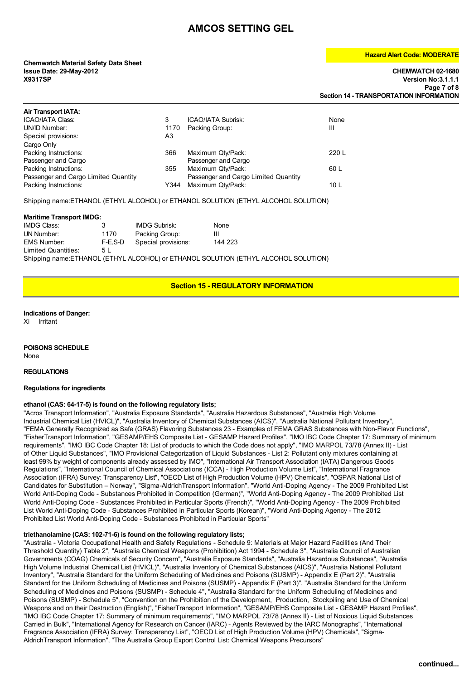# **Chemwatch Material Safety Data Sheet**

### **Hazard Alert Code: MODERATE**

**Issue Date: 29-May-2012 CHEMWATCH 02-1680 X9317SP Version No:3.1.1.1 Page 7 of 8 Section 14 - TRANSPORTATION INFORMATION**

| <b>Air Transport IATA:</b>           |      |                                      |                 |
|--------------------------------------|------|--------------------------------------|-----------------|
| <b>ICAO/IATA Class:</b>              | 3    | <b>ICAO/IATA Subrisk:</b>            | None            |
| UN/ID Number:                        | 1170 | Packing Group:                       | Ш               |
| Special provisions:                  | A3   |                                      |                 |
| Cargo Only                           |      |                                      |                 |
| Packing Instructions:                | 366  | Maximum Qty/Pack:                    | 220 L           |
| Passenger and Cargo                  |      | Passenger and Cargo                  |                 |
| Packing Instructions:                | 355  | Maximum Qty/Pack:                    | 60 L            |
| Passenger and Cargo Limited Quantity |      | Passenger and Cargo Limited Quantity |                 |
| Packing Instructions:                | Y344 | Maximum Qty/Pack:                    | 10 <sub>L</sub> |
|                                      |      |                                      |                 |

Shipping name:ETHANOL (ETHYL ALCOHOL) or ETHANOL SOLUTION (ETHYL ALCOHOL SOLUTION)

### **Maritime Transport IMDG:**

| <b>IMDG Class:</b>  | 3       | <b>IMDG Subrisk:</b> | None    |
|---------------------|---------|----------------------|---------|
| UN Number:          | 1170    | Packing Group:       | Ш       |
| <b>EMS Number:</b>  | F-E.S-D | Special provisions:  | 144 223 |
| Limited Quantities: | 5 L     |                      |         |

Shipping name:ETHANOL (ETHYL ALCOHOL) or ETHANOL SOLUTION (ETHYL ALCOHOL SOLUTION)

### **Section 15 - REGULATORY INFORMATION**

### **Indications of Danger:**

Xi Irritant

### **POISONS SCHEDULE** None

### **REGULATIONS**

### **Regulations for ingredients**

### **ethanol (CAS: 64-17-5) is found on the following regulatory lists;**

"Acros Transport Information", "Australia Exposure Standards", "Australia Hazardous Substances", "Australia High Volume Industrial Chemical List (HVICL)", "Australia Inventory of Chemical Substances (AICS)", "Australia National Pollutant Inventory", "FEMA Generally Recognized as Safe (GRAS) Flavoring Substances 23 - Examples of FEMA GRAS Substances with Non-Flavor Functions", "FisherTransport Information", "GESAMP/EHS Composite List - GESAMP Hazard Profiles", "IMO IBC Code Chapter 17: Summary of minimum requirements", "IMO IBC Code Chapter 18: List of products to which the Code does not apply", "IMO MARPOL 73/78 (Annex II) - List of Other Liquid Substances", "IMO Provisional Categorization of Liquid Substances - List 2: Pollutant only mixtures containing at least 99% by weight of components already assessed by IMO", "International Air Transport Association (IATA) Dangerous Goods Regulations", "International Council of Chemical Associations (ICCA) - High Production Volume List", "International Fragrance Association (IFRA) Survey: Transparency List", "OECD List of High Production Volume (HPV) Chemicals", "OSPAR National List of Candidates for Substitution – Norway", "Sigma-AldrichTransport Information", "World Anti-Doping Agency - The 2009 Prohibited List World Anti-Doping Code - Substances Prohibited in Competition (German)", "World Anti-Doping Agency - The 2009 Prohibited List World Anti-Doping Code - Substances Prohibited in Particular Sports (French)", "World Anti-Doping Agency - The 2009 Prohibited List World Anti-Doping Code - Substances Prohibited in Particular Sports (Korean)", "World Anti-Doping Agency - The 2012 Prohibited List World Anti-Doping Code - Substances Prohibited in Particular Sports"

### **triethanolamine (CAS: 102-71-6) is found on the following regulatory lists;**

"Australia - Victoria Occupational Health and Safety Regulations - Schedule 9: Materials at Major Hazard Facilities (And Their Threshold Quantity) Table 2", "Australia Chemical Weapons (Prohibition) Act 1994 - Schedule 3", "Australia Council of Australian Governments (COAG) Chemicals of Security Concern", "Australia Exposure Standards", "Australia Hazardous Substances", "Australia High Volume Industrial Chemical List (HVICL)", "Australia Inventory of Chemical Substances (AICS)", "Australia National Pollutant Inventory", "Australia Standard for the Uniform Scheduling of Medicines and Poisons (SUSMP) - Appendix E (Part 2)", "Australia Standard for the Uniform Scheduling of Medicines and Poisons (SUSMP) - Appendix F (Part 3)", "Australia Standard for the Uniform Scheduling of Medicines and Poisons (SUSMP) - Schedule 4", "Australia Standard for the Uniform Scheduling of Medicines and Poisons (SUSMP) - Schedule 5", "Convention on the Prohibition of the Development, Production, Stockpiling and Use of Chemical Weapons and on their Destruction (English)", "FisherTransport Information", "GESAMP/EHS Composite List - GESAMP Hazard Profiles", "IMO IBC Code Chapter 17: Summary of minimum requirements", "IMO MARPOL 73/78 (Annex II) - List of Noxious Liquid Substances Carried in Bulk", "International Agency for Research on Cancer (IARC) - Agents Reviewed by the IARC Monographs", "International Fragrance Association (IFRA) Survey: Transparency List", "OECD List of High Production Volume (HPV) Chemicals", "Sigma-AldrichTransport Information", "The Australia Group Export Control List: Chemical Weapons Precursors"